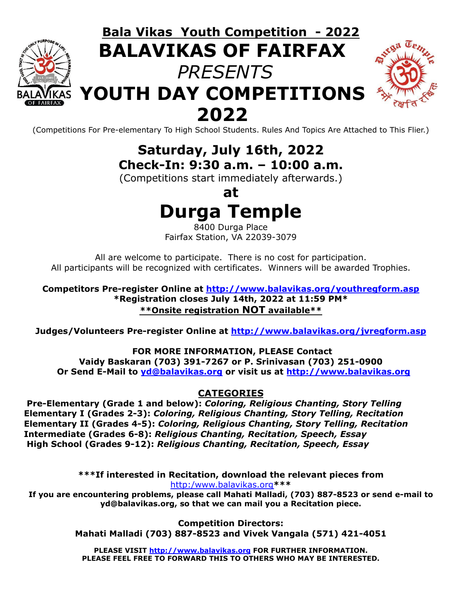

# **Bala Vikas Youth Competition - 2022 BALAVIKAS OF FAIRFAX** *PRESENTS* **YOUTH DAY COMPETITIONS 2022**



(Competitions For Pre-elementary To High School Students. Rules And Topics Are Attached to This Flier.)

**Saturday, July 16th, 2022 Check-In: 9:30 a.m. – 10:00 a.m.**

(Competitions start immediately afterwards.)

**at Durga Temple**

8400 Durga Place Fairfax Station, VA 22039-3079

All are welcome to participate. There is no cost for participation. All participants will be recognized with certificates. Winners will be awarded Trophies.

**Competitors Pre-register Online at <http://www.balavikas.org/youthregform.asp> \*Registration closes July 14th, 2022 at 11:59 PM\* \*\*Onsite registration NOT available\*\***

**Judges/Volunteers Pre-register Online at <http://www.balavikas.org/jvregform.asp>**

#### **FOR MORE INFORMATION, PLEASE Contact**

**Vaidy Baskaran (703) 391-7267 or P. Srinivasan (703) 251-0900 Or Send E-Mail to [yd@balavikas.org](mailto:yd@balavikas.org) or visit us at <http://www.balavikas.org>**

#### **CATEGORIES**

**Pre-Elementary (Grade 1 and below):** *Coloring, Religious Chanting, Story Telling* **Elementary I (Grades 2-3):** *Coloring, Religious Chanting, Story Telling, Recitation* **Elementary II (Grades 4-5):** *Coloring, Religious Chanting, Story Telling, Recitation* **Intermediate (Grades 6-8):** *Religious Chanting, Recitation, Speech, Essay* **High School (Grades 9-12):** *Religious Chanting, Recitation, Speech, Essay*

> **\*\*\*If interested in Recitation, download the relevant pieces from** [http:/www.balavikas.org](http://www.balavikas.org)**\*\*\***

**If you are encountering problems, please call Mahati Malladi, (703) 887-8523 or send e-mail to yd@balavikas.org, so that we can mail you a Recitation piece.**

> **Competition Directors: Mahati Malladi (703) 887-8523 and Vivek Vangala (571) 421-4051**

**PLEASE VISIT <http://www.balavikas.org> FOR FURTHER INFORMATION. PLEASE FEEL FREE TO FORWARD THIS TO OTHERS WHO MAY BE INTERESTED.**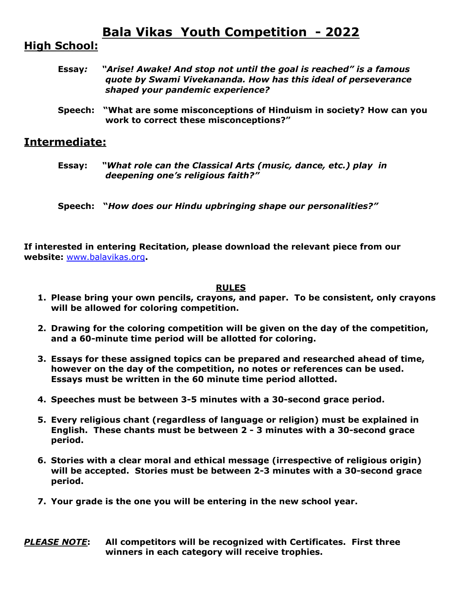# **Bala Vikas Youth Competition - 2022**

### **High School:**

- **Essay***: "Arise! Awake! And stop not until the goal is reached" is a famous quote by Swami Vivekananda. How has this ideal of perseverance shaped your pandemic experience?*
- **Speech: "What are some misconceptions of Hinduism in society? How can you work to correct these misconceptions?"**

#### **Intermediate:**

**Essay:** *"What role can the Classical Arts (music, dance, etc.) play in deepening one's religious faith?"*

**Speech: "***How does our Hindu upbringing shape our personalities?"*

**If interested in entering Recitation, please download the relevant piece from our website:** [www.balavikas.org](http://www.balavikas.org)**.**

#### **RULES**

- **1. Please bring your own pencils, crayons, and paper. To be consistent, only crayons will be allowed for coloring competition.**
- **2. Drawing for the coloring competition will be given on the day of the competition, and a 60-minute time period will be allotted for coloring.**
- **3. Essays for these assigned topics can be prepared and researched ahead of time, however on the day of the competition, no notes or references can be used. Essays must be written in the 60 minute time period allotted.**
- **4. Speeches must be between 3-5 minutes with a 30-second grace period.**
- **5. Every religious chant (regardless of language or religion) must be explained in English. These chants must be between 2 - 3 minutes with a 30-second grace period.**
- **6. Stories with a clear moral and ethical message (irrespective of religious origin) will be accepted. Stories must be between 2-3 minutes with a 30-second grace period.**
- **7. Your grade is the one you will be entering in the new school year.**

*PLEASE NOTE***: All competitors will be recognized with Certificates. First three winners in each category will receive trophies.**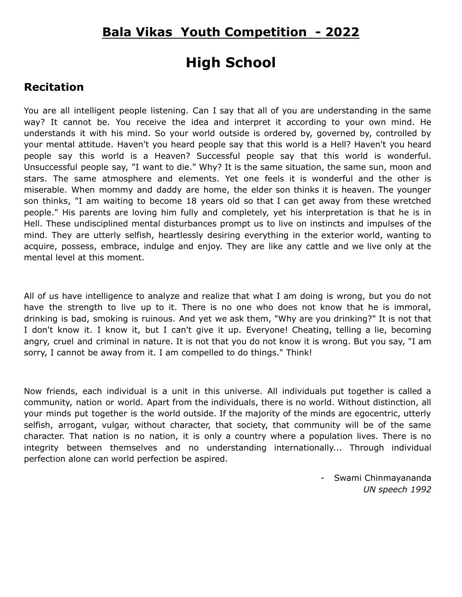## **Bala Vikas Youth Competition - 2022**

# **High School**

### **Recitation**

You are all intelligent people listening. Can I say that all of you are understanding in the same way? It cannot be. You receive the idea and interpret it according to your own mind. He understands it with his mind. So your world outside is ordered by, governed by, controlled by your mental attitude. Haven't you heard people say that this world is a Hell? Haven't you heard people say this world is a Heaven? Successful people say that this world is wonderful. Unsuccessful people say, "I want to die." Why? It is the same situation, the same sun, moon and stars. The same atmosphere and elements. Yet one feels it is wonderful and the other is miserable. When mommy and daddy are home, the elder son thinks it is heaven. The younger son thinks, "I am waiting to become 18 years old so that I can get away from these wretched people." His parents are loving him fully and completely, yet his interpretation is that he is in Hell. These undisciplined mental disturbances prompt us to live on instincts and impulses of the mind. They are utterly selfish, heartlessly desiring everything in the exterior world, wanting to acquire, possess, embrace, indulge and enjoy. They are like any cattle and we live only at the mental level at this moment.

All of us have intelligence to analyze and realize that what I am doing is wrong, but you do not have the strength to live up to it. There is no one who does not know that he is immoral, drinking is bad, smoking is ruinous. And yet we ask them, "Why are you drinking?" It is not that I don't know it. I know it, but I can't give it up. Everyone! Cheating, telling a lie, becoming angry, cruel and criminal in nature. It is not that you do not know it is wrong. But you say, "I am sorry, I cannot be away from it. I am compelled to do things." Think!

Now friends, each individual is a unit in this universe. All individuals put together is called a community, nation or world. Apart from the individuals, there is no world. Without distinction, all your minds put together is the world outside. If the majority of the minds are egocentric, utterly selfish, arrogant, vulgar, without character, that society, that community will be of the same character. That nation is no nation, it is only a country where a population lives. There is no integrity between themselves and no understanding internationally... Through individual perfection alone can world perfection be aspired.

> - Swami Chinmayananda *UN speech 1992*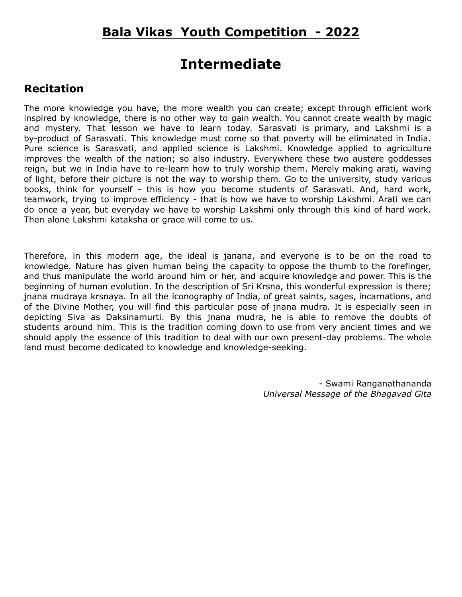# **Intermediate**

### **Recitation**

The more knowledge you have, the more wealth you can create; except through efficient work inspired by knowledge, there is no other way to gain wealth. You cannot create wealth by magic and mystery. That lesson we have to learn today. Sarasvati is primary, and Lakshmi is a by-product of Sarasvati. This knowledge must come so that poverty will be eliminated in India. Pure science is Sarasvati, and applied science is Lakshmi. Knowledge applied to agriculture improves the wealth of the nation; so also industry. Everywhere these two austere goddesses reign, but we in India have to re-learn how to truly worship them. Merely making arati, waving of light, before their picture is not the way to worship them. Go to the university, study various books, think for yourself - this is how you become students of Sarasvati. And, hard work, teamwork, trying to improve efficiency - that is how we have to worship Lakshmi. Arati we can do once a year, but everyday we have to worship Lakshmi only through this kind of hard work. Then alone Lakshmi kataksha or grace will come to us.

Therefore, in this modern age, the ideal is janana, and everyone is to be on the road to knowledge. Nature has given human being the capacity to oppose the thumb to the forefinger, and thus manipulate the world around him or her, and acquire knowledge and power. This is the beginning of human evolution. In the description of Sri Krsna, this wonderful expression is there; jnana mudraya krsnaya. In all the iconography of India, of great saints, sages, incarnations, and of the Divine Mother, you will find this particular pose of jnana mudra. It is especially seen in depicting Siva as Daksinamurti. By this jnana mudra, he is able to remove the doubts of students around him. This is the tradition coming down to use from very ancient times and we should apply the essence of this tradition to deal with our own present-day problems. The whole land must become dedicated to knowledge and knowledge-seeking.

> - Swami Ranganathananda *Universal Message of the Bhagavad Gita*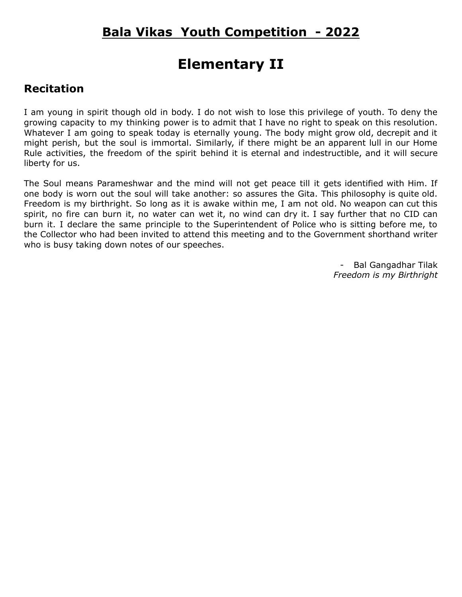# **Elementary II**

### **Recitation**

I am young in spirit though old in body. I do not wish to lose this privilege of youth. To deny the growing capacity to my thinking power is to admit that I have no right to speak on this resolution. Whatever I am going to speak today is eternally young. The body might grow old, decrepit and it might perish, but the soul is immortal. Similarly, if there might be an apparent lull in our Home Rule activities, the freedom of the spirit behind it is eternal and indestructible, and it will secure liberty for us.

The Soul means Parameshwar and the mind will not get peace till it gets identified with Him. If one body is worn out the soul will take another: so assures the Gita. This philosophy is quite old. Freedom is my birthright. So long as it is awake within me, I am not old. No weapon can cut this spirit, no fire can burn it, no water can wet it, no wind can dry it. I say further that no CID can burn it. I declare the same principle to the Superintendent of Police who is sitting before me, to the Collector who had been invited to attend this meeting and to the Government shorthand writer who is busy taking down notes of our speeches.

> - Bal Gangadhar Tilak *Freedom is my Birthright*